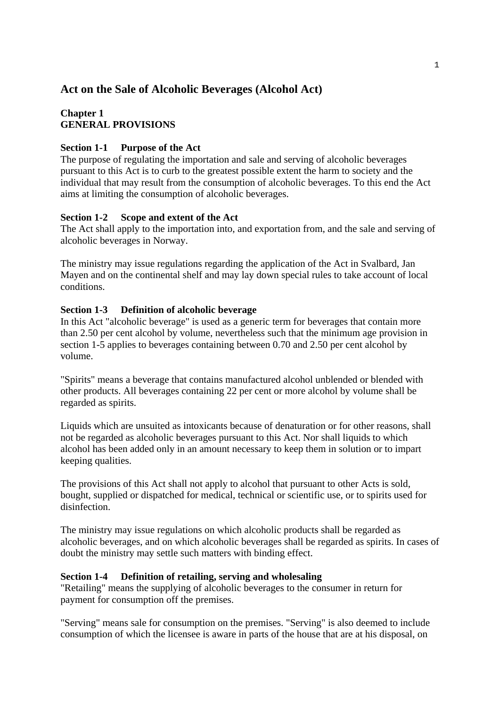# **Act on the Sale of Alcoholic Beverages (Alcohol Act)**

## **Chapter 1 GENERAL PROVISIONS**

### **Section 1-1 Purpose of the Act**

The purpose of regulating the importation and sale and serving of alcoholic beverages pursuant to this Act is to curb to the greatest possible extent the harm to society and the individual that may result from the consumption of alcoholic beverages. To this end the Act aims at limiting the consumption of alcoholic beverages.

### **Section 1-2 Scope and extent of the Act**

The Act shall apply to the importation into, and exportation from, and the sale and serving of alcoholic beverages in Norway.

The ministry may issue regulations regarding the application of the Act in Svalbard, Jan Mayen and on the continental shelf and may lay down special rules to take account of local conditions.

### **Section 1-3 Definition of alcoholic beverage**

In this Act "alcoholic beverage" is used as a generic term for beverages that contain more than 2.50 per cent alcohol by volume, nevertheless such that the minimum age provision in section 1-5 applies to beverages containing between 0.70 and 2.50 per cent alcohol by volume.

"Spirits" means a beverage that contains manufactured alcohol unblended or blended with other products. All beverages containing 22 per cent or more alcohol by volume shall be regarded as spirits.

Liquids which are unsuited as intoxicants because of denaturation or for other reasons, shall not be regarded as alcoholic beverages pursuant to this Act. Nor shall liquids to which alcohol has been added only in an amount necessary to keep them in solution or to impart keeping qualities.

The provisions of this Act shall not apply to alcohol that pursuant to other Acts is sold, bought, supplied or dispatched for medical, technical or scientific use, or to spirits used for disinfection.

The ministry may issue regulations on which alcoholic products shall be regarded as alcoholic beverages, and on which alcoholic beverages shall be regarded as spirits. In cases of doubt the ministry may settle such matters with binding effect.

## **Section 1-4 Definition of retailing, serving and wholesaling**

"Retailing" means the supplying of alcoholic beverages to the consumer in return for payment for consumption off the premises.

"Serving" means sale for consumption on the premises. "Serving" is also deemed to include consumption of which the licensee is aware in parts of the house that are at his disposal, on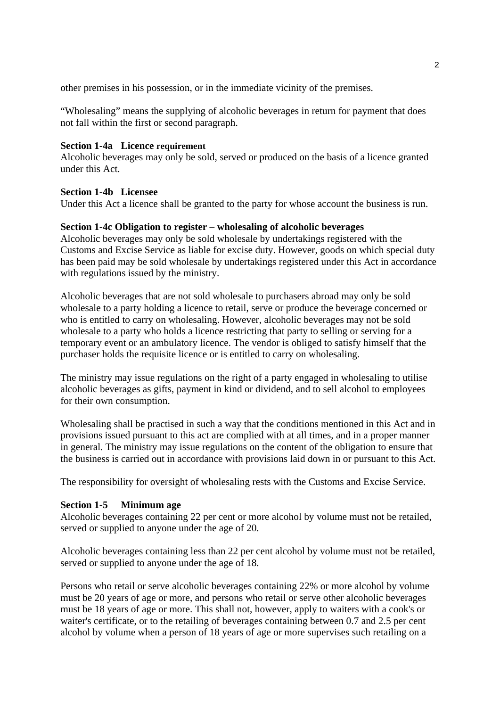other premises in his possession, or in the immediate vicinity of the premises.

"Wholesaling" means the supplying of alcoholic beverages in return for payment that does not fall within the first or second paragraph.

#### **Section 1-4a Licence requirement**

Alcoholic beverages may only be sold, served or produced on the basis of a licence granted under this Act.

#### **Section 1-4b Licensee**

Under this Act a licence shall be granted to the party for whose account the business is run.

### **Section 1-4c Obligation to register – wholesaling of alcoholic beverages**

Alcoholic beverages may only be sold wholesale by undertakings registered with the Customs and Excise Service as liable for excise duty. However, goods on which special duty has been paid may be sold wholesale by undertakings registered under this Act in accordance with regulations issued by the ministry.

Alcoholic beverages that are not sold wholesale to purchasers abroad may only be sold wholesale to a party holding a licence to retail, serve or produce the beverage concerned or who is entitled to carry on wholesaling. However, alcoholic beverages may not be sold wholesale to a party who holds a licence restricting that party to selling or serving for a temporary event or an ambulatory licence. The vendor is obliged to satisfy himself that the purchaser holds the requisite licence or is entitled to carry on wholesaling.

The ministry may issue regulations on the right of a party engaged in wholesaling to utilise alcoholic beverages as gifts, payment in kind or dividend, and to sell alcohol to employees for their own consumption.

Wholesaling shall be practised in such a way that the conditions mentioned in this Act and in provisions issued pursuant to this act are complied with at all times, and in a proper manner in general. The ministry may issue regulations on the content of the obligation to ensure that the business is carried out in accordance with provisions laid down in or pursuant to this Act.

The responsibility for oversight of wholesaling rests with the Customs and Excise Service.

### **Section 1-5 Minimum age**

Alcoholic beverages containing 22 per cent or more alcohol by volume must not be retailed, served or supplied to anyone under the age of 20.

Alcoholic beverages containing less than 22 per cent alcohol by volume must not be retailed, served or supplied to anyone under the age of 18.

Persons who retail or serve alcoholic beverages containing 22% or more alcohol by volume must be 20 years of age or more, and persons who retail or serve other alcoholic beverages must be 18 years of age or more. This shall not, however, apply to waiters with a cook's or waiter's certificate, or to the retailing of beverages containing between 0.7 and 2.5 per cent alcohol by volume when a person of 18 years of age or more supervises such retailing on a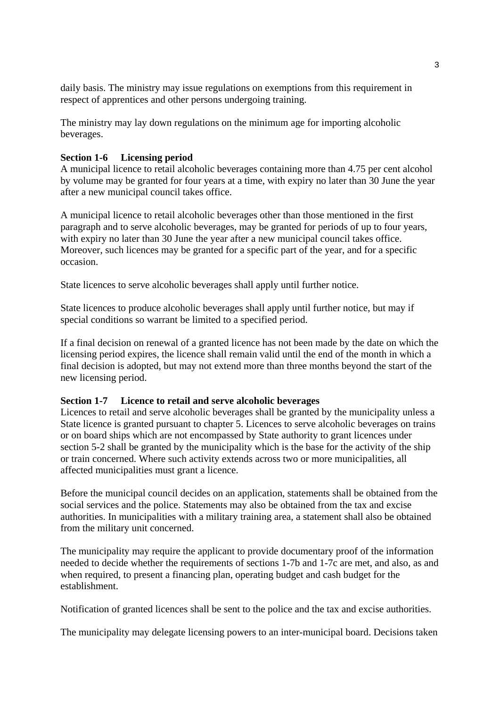daily basis. The ministry may issue regulations on exemptions from this requirement in respect of apprentices and other persons undergoing training.

The ministry may lay down regulations on the minimum age for importing alcoholic beverages.

#### **Section 1-6 Licensing period**

A municipal licence to retail alcoholic beverages containing more than 4.75 per cent alcohol by volume may be granted for four years at a time, with expiry no later than 30 June the year after a new municipal council takes office.

A municipal licence to retail alcoholic beverages other than those mentioned in the first paragraph and to serve alcoholic beverages, may be granted for periods of up to four years, with expiry no later than 30 June the year after a new municipal council takes office. Moreover, such licences may be granted for a specific part of the year, and for a specific occasion.

State licences to serve alcoholic beverages shall apply until further notice.

State licences to produce alcoholic beverages shall apply until further notice, but may if special conditions so warrant be limited to a specified period.

If a final decision on renewal of a granted licence has not been made by the date on which the licensing period expires, the licence shall remain valid until the end of the month in which a final decision is adopted, but may not extend more than three months beyond the start of the new licensing period.

#### **Section 1-7 Licence to retail and serve alcoholic beverages**

Licences to retail and serve alcoholic beverages shall be granted by the municipality unless a State licence is granted pursuant to chapter 5. Licences to serve alcoholic beverages on trains or on board ships which are not encompassed by State authority to grant licences under section 5-2 shall be granted by the municipality which is the base for the activity of the ship or train concerned. Where such activity extends across two or more municipalities, all affected municipalities must grant a licence.

Before the municipal council decides on an application, statements shall be obtained from the social services and the police. Statements may also be obtained from the tax and excise authorities. In municipalities with a military training area, a statement shall also be obtained from the military unit concerned.

The municipality may require the applicant to provide documentary proof of the information needed to decide whether the requirements of sections 1-7b and 1-7c are met, and also, as and when required, to present a financing plan, operating budget and cash budget for the establishment.

Notification of granted licences shall be sent to the police and the tax and excise authorities.

The municipality may delegate licensing powers to an inter-municipal board. Decisions taken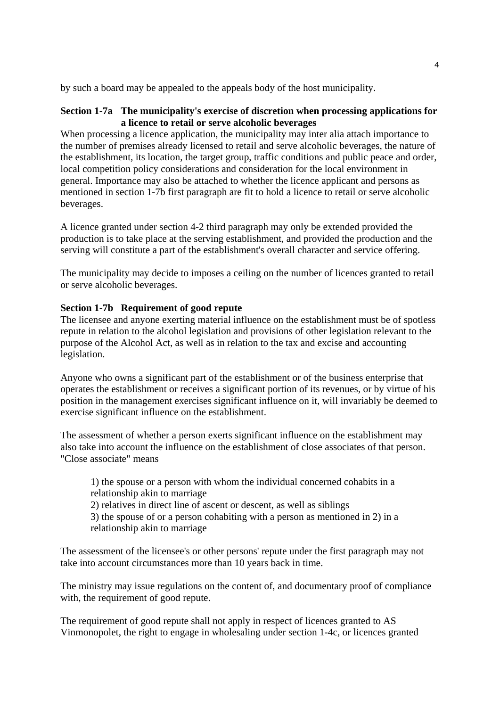by such a board may be appealed to the appeals body of the host municipality.

### **Section 1-7a The municipality's exercise of discretion when processing applications for a licence to retail or serve alcoholic beverages**

When processing a licence application, the municipality may inter alia attach importance to the number of premises already licensed to retail and serve alcoholic beverages, the nature of the establishment, its location, the target group, traffic conditions and public peace and order, local competition policy considerations and consideration for the local environment in general. Importance may also be attached to whether the licence applicant and persons as mentioned in section 1-7b first paragraph are fit to hold a licence to retail or serve alcoholic beverages.

A licence granted under section 4-2 third paragraph may only be extended provided the production is to take place at the serving establishment, and provided the production and the serving will constitute a part of the establishment's overall character and service offering.

The municipality may decide to imposes a ceiling on the number of licences granted to retail or serve alcoholic beverages.

### **Section 1-7b Requirement of good repute**

The licensee and anyone exerting material influence on the establishment must be of spotless repute in relation to the alcohol legislation and provisions of other legislation relevant to the purpose of the Alcohol Act, as well as in relation to the tax and excise and accounting legislation.

Anyone who owns a significant part of the establishment or of the business enterprise that operates the establishment or receives a significant portion of its revenues, or by virtue of his position in the management exercises significant influence on it, will invariably be deemed to exercise significant influence on the establishment.

The assessment of whether a person exerts significant influence on the establishment may also take into account the influence on the establishment of close associates of that person. "Close associate" means

1) the spouse or a person with whom the individual concerned cohabits in a relationship akin to marriage

2) relatives in direct line of ascent or descent, as well as siblings

3) the spouse of or a person cohabiting with a person as mentioned in 2) in a relationship akin to marriage

The assessment of the licensee's or other persons' repute under the first paragraph may not take into account circumstances more than 10 years back in time.

The ministry may issue regulations on the content of, and documentary proof of compliance with, the requirement of good repute.

The requirement of good repute shall not apply in respect of licences granted to AS Vinmonopolet, the right to engage in wholesaling under section 1-4c, or licences granted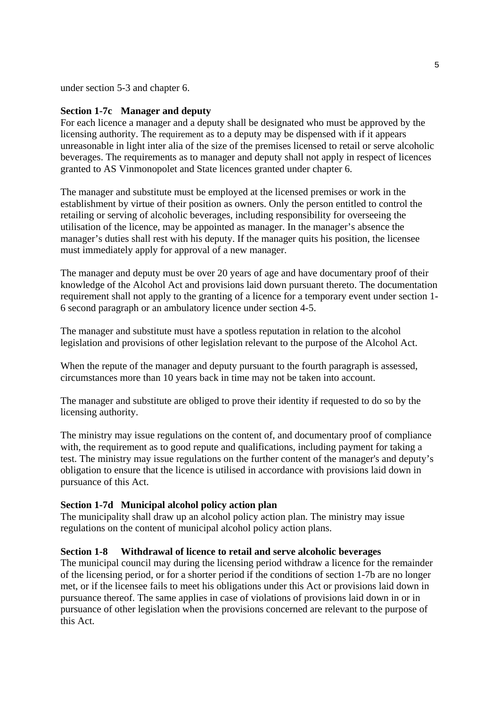under section 5-3 and chapter 6.

#### **Section 1-7c Manager and deputy**

For each licence a manager and a deputy shall be designated who must be approved by the licensing authority. The requirement as to a deputy may be dispensed with if it appears unreasonable in light inter alia of the size of the premises licensed to retail or serve alcoholic beverages. The requirements as to manager and deputy shall not apply in respect of licences granted to AS Vinmonopolet and State licences granted under chapter 6.

The manager and substitute must be employed at the licensed premises or work in the establishment by virtue of their position as owners. Only the person entitled to control the retailing or serving of alcoholic beverages, including responsibility for overseeing the utilisation of the licence, may be appointed as manager. In the manager's absence the manager's duties shall rest with his deputy. If the manager quits his position, the licensee must immediately apply for approval of a new manager.

The manager and deputy must be over 20 years of age and have documentary proof of their knowledge of the Alcohol Act and provisions laid down pursuant thereto. The documentation requirement shall not apply to the granting of a licence for a temporary event under section 1- 6 second paragraph or an ambulatory licence under section 4-5.

The manager and substitute must have a spotless reputation in relation to the alcohol legislation and provisions of other legislation relevant to the purpose of the Alcohol Act.

When the repute of the manager and deputy pursuant to the fourth paragraph is assessed, circumstances more than 10 years back in time may not be taken into account.

The manager and substitute are obliged to prove their identity if requested to do so by the licensing authority.

The ministry may issue regulations on the content of, and documentary proof of compliance with, the requirement as to good repute and qualifications, including payment for taking a test. The ministry may issue regulations on the further content of the manager's and deputy's obligation to ensure that the licence is utilised in accordance with provisions laid down in pursuance of this Act.

### **Section 1-7d Municipal alcohol policy action plan**

The municipality shall draw up an alcohol policy action plan. The ministry may issue regulations on the content of municipal alcohol policy action plans.

#### **Section 1-8 Withdrawal of licence to retail and serve alcoholic beverages**

The municipal council may during the licensing period withdraw a licence for the remainder of the licensing period, or for a shorter period if the conditions of section 1-7b are no longer met, or if the licensee fails to meet his obligations under this Act or provisions laid down in pursuance thereof. The same applies in case of violations of provisions laid down in or in pursuance of other legislation when the provisions concerned are relevant to the purpose of this Act.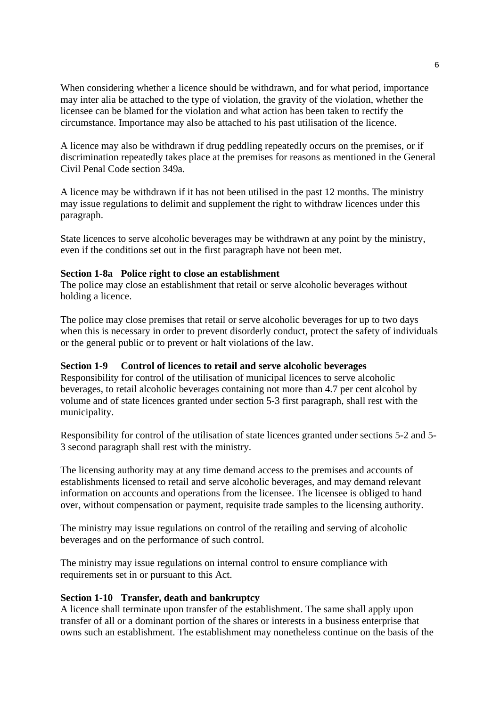When considering whether a licence should be withdrawn, and for what period, importance may inter alia be attached to the type of violation, the gravity of the violation, whether the licensee can be blamed for the violation and what action has been taken to rectify the circumstance. Importance may also be attached to his past utilisation of the licence.

A licence may also be withdrawn if drug peddling repeatedly occurs on the premises, or if discrimination repeatedly takes place at the premises for reasons as mentioned in the General Civil Penal Code section 349a.

A licence may be withdrawn if it has not been utilised in the past 12 months. The ministry may issue regulations to delimit and supplement the right to withdraw licences under this paragraph.

State licences to serve alcoholic beverages may be withdrawn at any point by the ministry, even if the conditions set out in the first paragraph have not been met.

### **Section 1-8a Police right to close an establishment**

The police may close an establishment that retail or serve alcoholic beverages without holding a licence.

The police may close premises that retail or serve alcoholic beverages for up to two days when this is necessary in order to prevent disorderly conduct, protect the safety of individuals or the general public or to prevent or halt violations of the law.

#### **Section 1-9 Control of licences to retail and serve alcoholic beverages**

Responsibility for control of the utilisation of municipal licences to serve alcoholic beverages, to retail alcoholic beverages containing not more than 4.7 per cent alcohol by volume and of state licences granted under section 5-3 first paragraph, shall rest with the municipality.

Responsibility for control of the utilisation of state licences granted under sections 5-2 and 5- 3 second paragraph shall rest with the ministry.

The licensing authority may at any time demand access to the premises and accounts of establishments licensed to retail and serve alcoholic beverages, and may demand relevant information on accounts and operations from the licensee. The licensee is obliged to hand over, without compensation or payment, requisite trade samples to the licensing authority.

The ministry may issue regulations on control of the retailing and serving of alcoholic beverages and on the performance of such control.

The ministry may issue regulations on internal control to ensure compliance with requirements set in or pursuant to this Act.

#### **Section 1-10 Transfer, death and bankruptcy**

A licence shall terminate upon transfer of the establishment. The same shall apply upon transfer of all or a dominant portion of the shares or interests in a business enterprise that owns such an establishment. The establishment may nonetheless continue on the basis of the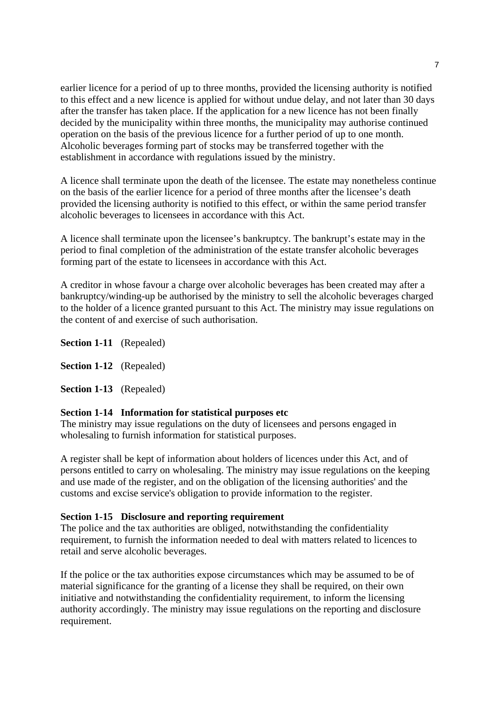earlier licence for a period of up to three months, provided the licensing authority is notified to this effect and a new licence is applied for without undue delay, and not later than 30 days after the transfer has taken place. If the application for a new licence has not been finally decided by the municipality within three months, the municipality may authorise continued operation on the basis of the previous licence for a further period of up to one month. Alcoholic beverages forming part of stocks may be transferred together with the establishment in accordance with regulations issued by the ministry.

A licence shall terminate upon the death of the licensee. The estate may nonetheless continue on the basis of the earlier licence for a period of three months after the licensee's death provided the licensing authority is notified to this effect, or within the same period transfer alcoholic beverages to licensees in accordance with this Act.

A licence shall terminate upon the licensee's bankruptcy. The bankrupt's estate may in the period to final completion of the administration of the estate transfer alcoholic beverages forming part of the estate to licensees in accordance with this Act.

A creditor in whose favour a charge over alcoholic beverages has been created may after a bankruptcy/winding-up be authorised by the ministry to sell the alcoholic beverages charged to the holder of a licence granted pursuant to this Act. The ministry may issue regulations on the content of and exercise of such authorisation.

**Section 1-11** (Repealed)

**Section 1-12** (Repealed)

**Section 1-13** (Repealed)

#### **Section 1-14 Information for statistical purposes etc**

The ministry may issue regulations on the duty of licensees and persons engaged in wholesaling to furnish information for statistical purposes.

A register shall be kept of information about holders of licences under this Act, and of persons entitled to carry on wholesaling. The ministry may issue regulations on the keeping and use made of the register, and on the obligation of the licensing authorities' and the customs and excise service's obligation to provide information to the register.

#### **Section 1-15 Disclosure and reporting requirement**

The police and the tax authorities are obliged, notwithstanding the confidentiality requirement, to furnish the information needed to deal with matters related to licences to retail and serve alcoholic beverages.

If the police or the tax authorities expose circumstances which may be assumed to be of material significance for the granting of a license they shall be required, on their own initiative and notwithstanding the confidentiality requirement, to inform the licensing authority accordingly. The ministry may issue regulations on the reporting and disclosure requirement.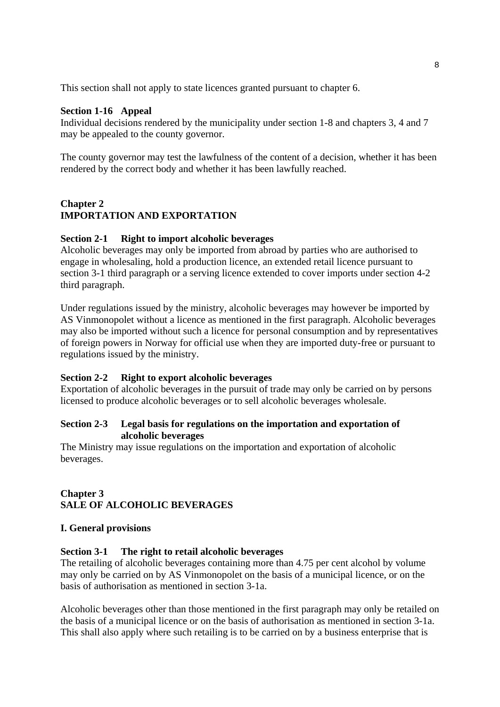This section shall not apply to state licences granted pursuant to chapter 6.

### **Section 1-16 Appeal**

Individual decisions rendered by the municipality under section 1-8 and chapters 3, 4 and 7 may be appealed to the county governor.

The county governor may test the lawfulness of the content of a decision, whether it has been rendered by the correct body and whether it has been lawfully reached.

## **Chapter 2 IMPORTATION AND EXPORTATION**

### **Section 2-1 Right to import alcoholic beverages**

Alcoholic beverages may only be imported from abroad by parties who are authorised to engage in wholesaling, hold a production licence, an extended retail licence pursuant to section 3-1 third paragraph or a serving licence extended to cover imports under section 4-2 third paragraph.

Under regulations issued by the ministry, alcoholic beverages may however be imported by AS Vinmonopolet without a licence as mentioned in the first paragraph. Alcoholic beverages may also be imported without such a licence for personal consumption and by representatives of foreign powers in Norway for official use when they are imported duty-free or pursuant to regulations issued by the ministry.

### **Section 2-2 Right to export alcoholic beverages**

Exportation of alcoholic beverages in the pursuit of trade may only be carried on by persons licensed to produce alcoholic beverages or to sell alcoholic beverages wholesale.

### **Section 2-3 Legal basis for regulations on the importation and exportation of alcoholic beverages**

The Ministry may issue regulations on the importation and exportation of alcoholic beverages.

# **Chapter 3 SALE OF ALCOHOLIC BEVERAGES**

### **I. General provisions**

### **Section 3-1 The right to retail alcoholic beverages**

The retailing of alcoholic beverages containing more than 4.75 per cent alcohol by volume may only be carried on by AS Vinmonopolet on the basis of a municipal licence, or on the basis of authorisation as mentioned in section 3-1a.

Alcoholic beverages other than those mentioned in the first paragraph may only be retailed on the basis of a municipal licence or on the basis of authorisation as mentioned in section 3-1a. This shall also apply where such retailing is to be carried on by a business enterprise that is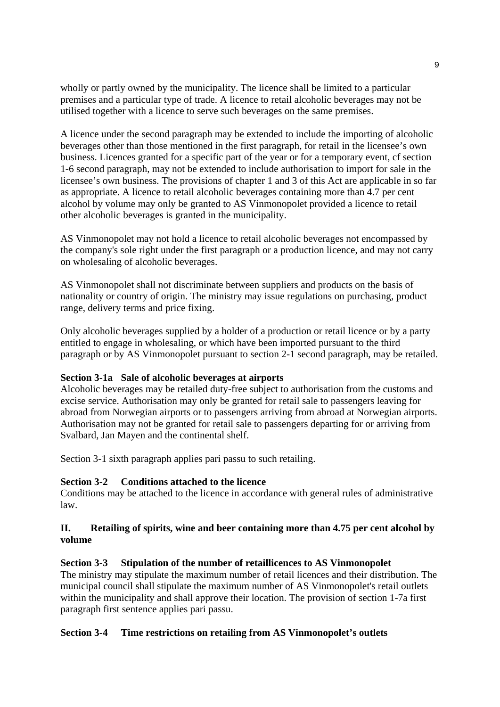wholly or partly owned by the municipality. The licence shall be limited to a particular premises and a particular type of trade. A licence to retail alcoholic beverages may not be utilised together with a licence to serve such beverages on the same premises.

A licence under the second paragraph may be extended to include the importing of alcoholic beverages other than those mentioned in the first paragraph, for retail in the licensee's own business. Licences granted for a specific part of the year or for a temporary event, cf section 1-6 second paragraph, may not be extended to include authorisation to import for sale in the licensee's own business. The provisions of chapter 1 and 3 of this Act are applicable in so far as appropriate. A licence to retail alcoholic beverages containing more than 4.7 per cent alcohol by volume may only be granted to AS Vinmonopolet provided a licence to retail other alcoholic beverages is granted in the municipality.

AS Vinmonopolet may not hold a licence to retail alcoholic beverages not encompassed by the company's sole right under the first paragraph or a production licence, and may not carry on wholesaling of alcoholic beverages.

AS Vinmonopolet shall not discriminate between suppliers and products on the basis of nationality or country of origin. The ministry may issue regulations on purchasing, product range, delivery terms and price fixing.

Only alcoholic beverages supplied by a holder of a production or retail licence or by a party entitled to engage in wholesaling, or which have been imported pursuant to the third paragraph or by AS Vinmonopolet pursuant to section 2-1 second paragraph, may be retailed.

### **Section 3-1a Sale of alcoholic beverages at airports**

Alcoholic beverages may be retailed duty-free subject to authorisation from the customs and excise service. Authorisation may only be granted for retail sale to passengers leaving for abroad from Norwegian airports or to passengers arriving from abroad at Norwegian airports. Authorisation may not be granted for retail sale to passengers departing for or arriving from Svalbard, Jan Mayen and the continental shelf.

Section 3-1 sixth paragraph applies pari passu to such retailing.

### **Section 3-2 Conditions attached to the licence**

Conditions may be attached to the licence in accordance with general rules of administrative law.

## **II. Retailing of spirits, wine and beer containing more than 4.75 per cent alcohol by volume**

### **Section 3-3 Stipulation of the number of retaillicences to AS Vinmonopolet**

The ministry may stipulate the maximum number of retail licences and their distribution. The municipal council shall stipulate the maximum number of AS Vinmonopolet's retail outlets within the municipality and shall approve their location. The provision of section 1-7a first paragraph first sentence applies pari passu.

### **Section 3-4 Time restrictions on retailing from AS Vinmonopolet's outlets**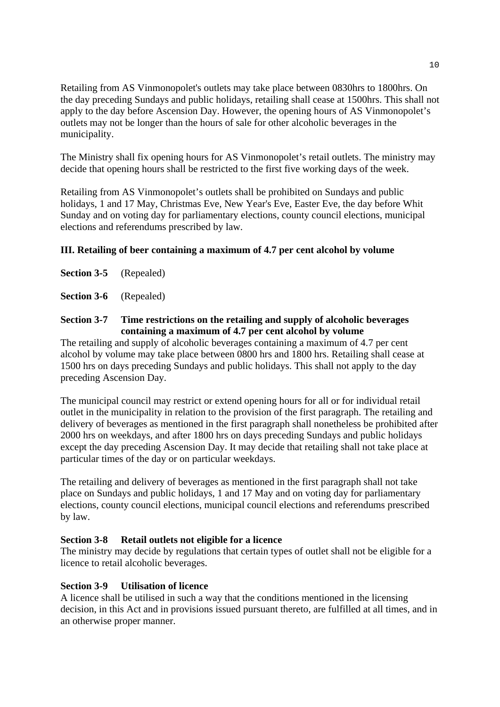Retailing from AS Vinmonopolet's outlets may take place between 0830hrs to 1800hrs. On the day preceding Sundays and public holidays, retailing shall cease at 1500hrs. This shall not apply to the day before Ascension Day. However, the opening hours of AS Vinmonopolet's outlets may not be longer than the hours of sale for other alcoholic beverages in the municipality.

The Ministry shall fix opening hours for AS Vinmonopolet's retail outlets. The ministry may decide that opening hours shall be restricted to the first five working days of the week.

Retailing from AS Vinmonopolet's outlets shall be prohibited on Sundays and public holidays, 1 and 17 May, Christmas Eve, New Year's Eve, Easter Eve, the day before Whit Sunday and on voting day for parliamentary elections, county council elections, municipal elections and referendums prescribed by law.

## **III. Retailing of beer containing a maximum of 4.7 per cent alcohol by volume**

**Section 3-5** (Repealed)

**Section 3-6** (Repealed)

### **Section 3-7 Time restrictions on the retailing and supply of alcoholic beverages containing a maximum of 4.7 per cent alcohol by volume**

The retailing and supply of alcoholic beverages containing a maximum of 4.7 per cent alcohol by volume may take place between 0800 hrs and 1800 hrs. Retailing shall cease at 1500 hrs on days preceding Sundays and public holidays. This shall not apply to the day preceding Ascension Day.

The municipal council may restrict or extend opening hours for all or for individual retail outlet in the municipality in relation to the provision of the first paragraph. The retailing and delivery of beverages as mentioned in the first paragraph shall nonetheless be prohibited after 2000 hrs on weekdays, and after 1800 hrs on days preceding Sundays and public holidays except the day preceding Ascension Day. It may decide that retailing shall not take place at particular times of the day or on particular weekdays.

The retailing and delivery of beverages as mentioned in the first paragraph shall not take place on Sundays and public holidays, 1 and 17 May and on voting day for parliamentary elections, county council elections, municipal council elections and referendums prescribed by law.

### **Section 3-8 Retail outlets not eligible for a licence**

The ministry may decide by regulations that certain types of outlet shall not be eligible for a licence to retail alcoholic beverages.

### **Section 3-9 Utilisation of licence**

A licence shall be utilised in such a way that the conditions mentioned in the licensing decision, in this Act and in provisions issued pursuant thereto, are fulfilled at all times, and in an otherwise proper manner.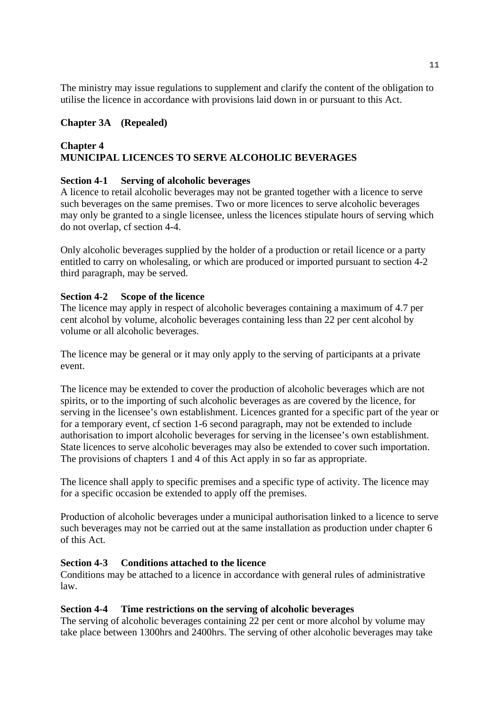The ministry may issue regulations to supplement and clarify the content of the obligation to utilise the licence in accordance with provisions laid down in or pursuant to this Act.

## **Chapter 3A (Repealed)**

## **Chapter 4 MUNICIPAL LICENCES TO SERVE ALCOHOLIC BEVERAGES**

### **Section 4-1 Serving of alcoholic beverages**

A licence to retail alcoholic beverages may not be granted together with a licence to serve such beverages on the same premises. Two or more licences to serve alcoholic beverages may only be granted to a single licensee, unless the licences stipulate hours of serving which do not overlap, cf section 4-4.

Only alcoholic beverages supplied by the holder of a production or retail licence or a party entitled to carry on wholesaling, or which are produced or imported pursuant to section 4-2 third paragraph, may be served.

### **Section 4-2 Scope of the licence**

The licence may apply in respect of alcoholic beverages containing a maximum of 4.7 per cent alcohol by volume, alcoholic beverages containing less than 22 per cent alcohol by volume or all alcoholic beverages.

The licence may be general or it may only apply to the serving of participants at a private event.

The licence may be extended to cover the production of alcoholic beverages which are not spirits, or to the importing of such alcoholic beverages as are covered by the licence, for serving in the licensee's own establishment. Licences granted for a specific part of the year or for a temporary event, cf section 1-6 second paragraph, may not be extended to include authorisation to import alcoholic beverages for serving in the licensee's own establishment. State licences to serve alcoholic beverages may also be extended to cover such importation. The provisions of chapters 1 and 4 of this Act apply in so far as appropriate.

The licence shall apply to specific premises and a specific type of activity. The licence may for a specific occasion be extended to apply off the premises.

Production of alcoholic beverages under a municipal authorisation linked to a licence to serve such beverages may not be carried out at the same installation as production under chapter 6 of this Act.

### **Section 4-3 Conditions attached to the licence**

Conditions may be attached to a licence in accordance with general rules of administrative law.

### **Section 4-4 Time restrictions on the serving of alcoholic beverages**

The serving of alcoholic beverages containing 22 per cent or more alcohol by volume may take place between 1300hrs and 2400hrs. The serving of other alcoholic beverages may take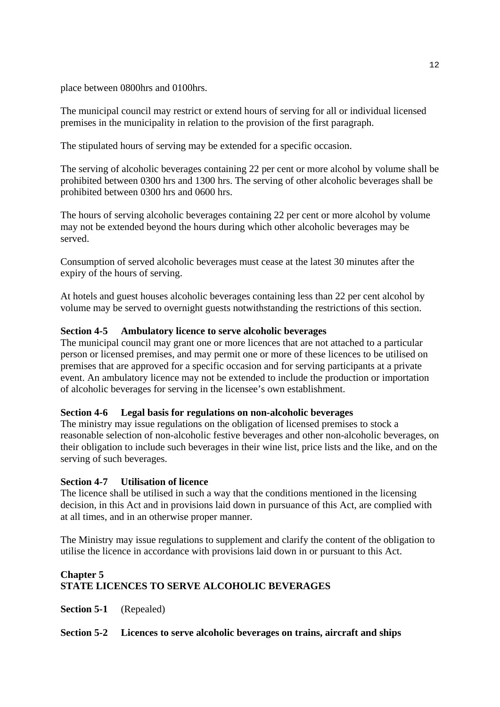place between 0800hrs and 0100hrs.

The municipal council may restrict or extend hours of serving for all or individual licensed premises in the municipality in relation to the provision of the first paragraph.

The stipulated hours of serving may be extended for a specific occasion.

The serving of alcoholic beverages containing 22 per cent or more alcohol by volume shall be prohibited between 0300 hrs and 1300 hrs. The serving of other alcoholic beverages shall be prohibited between 0300 hrs and 0600 hrs.

The hours of serving alcoholic beverages containing 22 per cent or more alcohol by volume may not be extended beyond the hours during which other alcoholic beverages may be served.

Consumption of served alcoholic beverages must cease at the latest 30 minutes after the expiry of the hours of serving.

At hotels and guest houses alcoholic beverages containing less than 22 per cent alcohol by volume may be served to overnight guests notwithstanding the restrictions of this section.

## **Section 4-5 Ambulatory licence to serve alcoholic beverages**

The municipal council may grant one or more licences that are not attached to a particular person or licensed premises, and may permit one or more of these licences to be utilised on premises that are approved for a specific occasion and for serving participants at a private event. An ambulatory licence may not be extended to include the production or importation of alcoholic beverages for serving in the licensee's own establishment.

### **Section 4-6 Legal basis for regulations on non-alcoholic beverages**

The ministry may issue regulations on the obligation of licensed premises to stock a reasonable selection of non-alcoholic festive beverages and other non-alcoholic beverages, on their obligation to include such beverages in their wine list, price lists and the like, and on the serving of such beverages.

### **Section 4-7 Utilisation of licence**

The licence shall be utilised in such a way that the conditions mentioned in the licensing decision, in this Act and in provisions laid down in pursuance of this Act, are complied with at all times, and in an otherwise proper manner.

The Ministry may issue regulations to supplement and clarify the content of the obligation to utilise the licence in accordance with provisions laid down in or pursuant to this Act.

# **Chapter 5 STATE LICENCES TO SERVE ALCOHOLIC BEVERAGES**

**Section 5-1** (Repealed)

### **Section 5-2 Licences to serve alcoholic beverages on trains, aircraft and ships**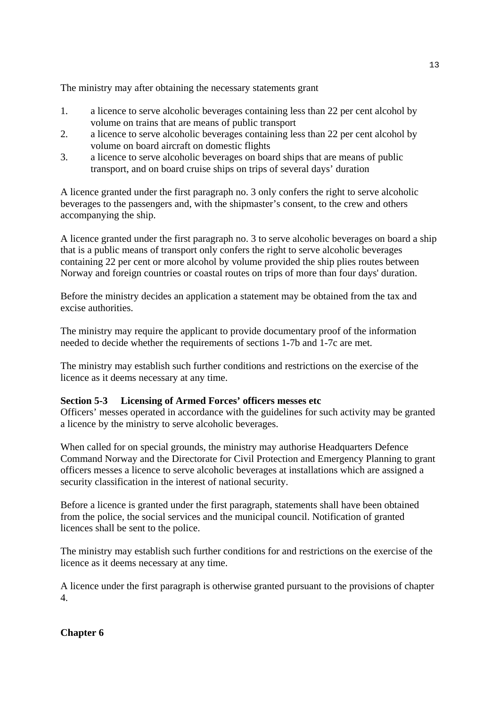The ministry may after obtaining the necessary statements grant

- 1. a licence to serve alcoholic beverages containing less than 22 per cent alcohol by volume on trains that are means of public transport
- 2. a licence to serve alcoholic beverages containing less than 22 per cent alcohol by volume on board aircraft on domestic flights
- 3. a licence to serve alcoholic beverages on board ships that are means of public transport, and on board cruise ships on trips of several days' duration

A licence granted under the first paragraph no. 3 only confers the right to serve alcoholic beverages to the passengers and, with the shipmaster's consent, to the crew and others accompanying the ship.

A licence granted under the first paragraph no. 3 to serve alcoholic beverages on board a ship that is a public means of transport only confers the right to serve alcoholic beverages containing 22 per cent or more alcohol by volume provided the ship plies routes between Norway and foreign countries or coastal routes on trips of more than four days' duration.

Before the ministry decides an application a statement may be obtained from the tax and excise authorities.

The ministry may require the applicant to provide documentary proof of the information needed to decide whether the requirements of sections 1-7b and 1-7c are met.

The ministry may establish such further conditions and restrictions on the exercise of the licence as it deems necessary at any time.

### **Section 5-3 Licensing of Armed Forces' officers messes etc**

Officers' messes operated in accordance with the guidelines for such activity may be granted a licence by the ministry to serve alcoholic beverages.

When called for on special grounds, the ministry may authorise Headquarters Defence Command Norway and the Directorate for Civil Protection and Emergency Planning to grant officers messes a licence to serve alcoholic beverages at installations which are assigned a security classification in the interest of national security.

Before a licence is granted under the first paragraph, statements shall have been obtained from the police, the social services and the municipal council. Notification of granted licences shall be sent to the police.

The ministry may establish such further conditions for and restrictions on the exercise of the licence as it deems necessary at any time.

A licence under the first paragraph is otherwise granted pursuant to the provisions of chapter 4.

## **Chapter 6**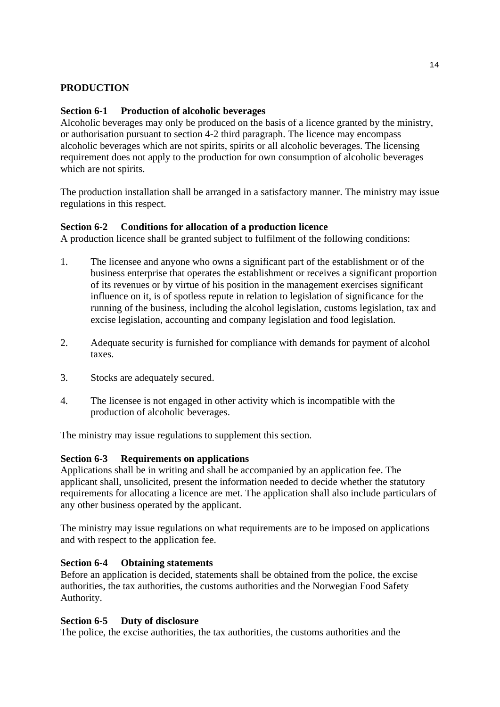### **PRODUCTION**

### **Section 6-1 Production of alcoholic beverages**

Alcoholic beverages may only be produced on the basis of a licence granted by the ministry, or authorisation pursuant to section 4-2 third paragraph. The licence may encompass alcoholic beverages which are not spirits, spirits or all alcoholic beverages. The licensing requirement does not apply to the production for own consumption of alcoholic beverages which are not spirits.

The production installation shall be arranged in a satisfactory manner. The ministry may issue regulations in this respect.

### **Section 6-2 Conditions for allocation of a production licence**

A production licence shall be granted subject to fulfilment of the following conditions:

- 1. The licensee and anyone who owns a significant part of the establishment or of the business enterprise that operates the establishment or receives a significant proportion of its revenues or by virtue of his position in the management exercises significant influence on it, is of spotless repute in relation to legislation of significance for the running of the business, including the alcohol legislation, customs legislation, tax and excise legislation, accounting and company legislation and food legislation.
- 2. Adequate security is furnished for compliance with demands for payment of alcohol taxes.
- 3. Stocks are adequately secured.
- 4. The licensee is not engaged in other activity which is incompatible with the production of alcoholic beverages.

The ministry may issue regulations to supplement this section.

### **Section 6-3 Requirements on applications**

Applications shall be in writing and shall be accompanied by an application fee. The applicant shall, unsolicited, present the information needed to decide whether the statutory requirements for allocating a licence are met. The application shall also include particulars of any other business operated by the applicant.

The ministry may issue regulations on what requirements are to be imposed on applications and with respect to the application fee.

### **Section 6-4 Obtaining statements**

Before an application is decided, statements shall be obtained from the police, the excise authorities, the tax authorities, the customs authorities and the Norwegian Food Safety Authority.

### **Section 6-5 Duty of disclosure**

The police, the excise authorities, the tax authorities, the customs authorities and the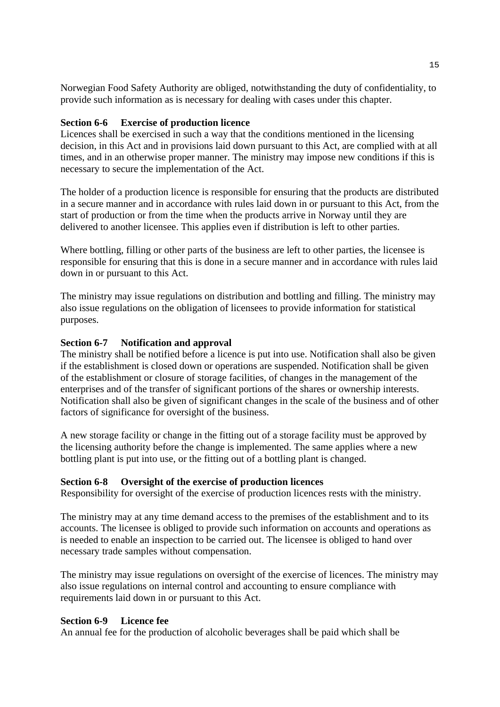Norwegian Food Safety Authority are obliged, notwithstanding the duty of confidentiality, to provide such information as is necessary for dealing with cases under this chapter.

### **Section 6-6 Exercise of production licence**

Licences shall be exercised in such a way that the conditions mentioned in the licensing decision, in this Act and in provisions laid down pursuant to this Act, are complied with at all times, and in an otherwise proper manner. The ministry may impose new conditions if this is necessary to secure the implementation of the Act.

The holder of a production licence is responsible for ensuring that the products are distributed in a secure manner and in accordance with rules laid down in or pursuant to this Act, from the start of production or from the time when the products arrive in Norway until they are delivered to another licensee. This applies even if distribution is left to other parties.

Where bottling, filling or other parts of the business are left to other parties, the licensee is responsible for ensuring that this is done in a secure manner and in accordance with rules laid down in or pursuant to this Act.

The ministry may issue regulations on distribution and bottling and filling. The ministry may also issue regulations on the obligation of licensees to provide information for statistical purposes.

### **Section 6-7 Notification and approval**

The ministry shall be notified before a licence is put into use. Notification shall also be given if the establishment is closed down or operations are suspended. Notification shall be given of the establishment or closure of storage facilities, of changes in the management of the enterprises and of the transfer of significant portions of the shares or ownership interests. Notification shall also be given of significant changes in the scale of the business and of other factors of significance for oversight of the business.

A new storage facility or change in the fitting out of a storage facility must be approved by the licensing authority before the change is implemented. The same applies where a new bottling plant is put into use, or the fitting out of a bottling plant is changed.

#### **Section 6-8 Oversight of the exercise of production licences**

Responsibility for oversight of the exercise of production licences rests with the ministry.

The ministry may at any time demand access to the premises of the establishment and to its accounts. The licensee is obliged to provide such information on accounts and operations as is needed to enable an inspection to be carried out. The licensee is obliged to hand over necessary trade samples without compensation.

The ministry may issue regulations on oversight of the exercise of licences. The ministry may also issue regulations on internal control and accounting to ensure compliance with requirements laid down in or pursuant to this Act.

#### **Section 6-9 Licence fee**

An annual fee for the production of alcoholic beverages shall be paid which shall be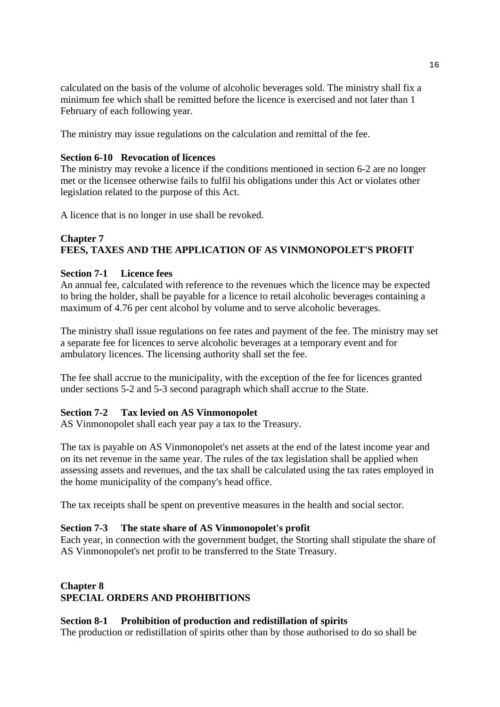calculated on the basis of the volume of alcoholic beverages sold. The ministry shall fix a minimum fee which shall be remitted before the licence is exercised and not later than 1 February of each following year.

The ministry may issue regulations on the calculation and remittal of the fee.

## **Section 6-10 Revocation of licences**

The ministry may revoke a licence if the conditions mentioned in section 6-2 are no longer met or the licensee otherwise fails to fulfil his obligations under this Act or violates other legislation related to the purpose of this Act.

A licence that is no longer in use shall be revoked.

# **Chapter 7 FEES, TAXES AND THE APPLICATION OF AS VINMONOPOLET'S PROFIT**

## **Section 7-1 Licence fees**

An annual fee, calculated with reference to the revenues which the licence may be expected to bring the holder, shall be payable for a licence to retail alcoholic beverages containing a maximum of 4.76 per cent alcohol by volume and to serve alcoholic beverages.

The ministry shall issue regulations on fee rates and payment of the fee. The ministry may set a separate fee for licences to serve alcoholic beverages at a temporary event and for ambulatory licences. The licensing authority shall set the fee.

The fee shall accrue to the municipality, with the exception of the fee for licences granted under sections 5-2 and 5-3 second paragraph which shall accrue to the State.

## **Section 7-2 Tax levied on AS Vinmonopolet**

AS Vinmonopolet shall each year pay a tax to the Treasury.

The tax is payable on AS Vinmonopolet's net assets at the end of the latest income year and on its net revenue in the same year. The rules of the tax legislation shall be applied when assessing assets and revenues, and the tax shall be calculated using the tax rates employed in the home municipality of the company's head office.

The tax receipts shall be spent on preventive measures in the health and social sector.

### **Section 7-3 The state share of AS Vinmonopolet's profit**

Each year, in connection with the government budget, the Storting shall stipulate the share of AS Vinmonopolet's net profit to be transferred to the State Treasury.

# **Chapter 8 SPECIAL ORDERS AND PROHIBITIONS**

## **Section 8-1 Prohibition of production and redistillation of spirits**

The production or redistillation of spirits other than by those authorised to do so shall be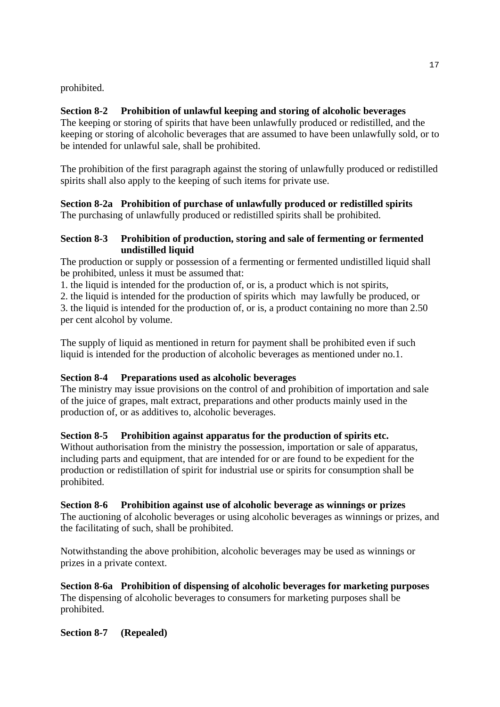prohibited.

# **Section 8-2 Prohibition of unlawful keeping and storing of alcoholic beverages**

The keeping or storing of spirits that have been unlawfully produced or redistilled, and the keeping or storing of alcoholic beverages that are assumed to have been unlawfully sold, or to be intended for unlawful sale, shall be prohibited.

The prohibition of the first paragraph against the storing of unlawfully produced or redistilled spirits shall also apply to the keeping of such items for private use.

**Section 8-2a Prohibition of purchase of unlawfully produced or redistilled spirits**  The purchasing of unlawfully produced or redistilled spirits shall be prohibited.

## **Section 8-3 Prohibition of production, storing and sale of fermenting or fermented undistilled liquid**

The production or supply or possession of a fermenting or fermented undistilled liquid shall be prohibited, unless it must be assumed that:

1. the liquid is intended for the production of, or is, a product which is not spirits,

2. the liquid is intended for the production of spirits which may lawfully be produced, or

3. the liquid is intended for the production of, or is, a product containing no more than 2.50 per cent alcohol by volume.

The supply of liquid as mentioned in return for payment shall be prohibited even if such liquid is intended for the production of alcoholic beverages as mentioned under no.1.

# **Section 8-4 Preparations used as alcoholic beverages**

The ministry may issue provisions on the control of and prohibition of importation and sale of the juice of grapes, malt extract, preparations and other products mainly used in the production of, or as additives to, alcoholic beverages.

# **Section 8-5 Prohibition against apparatus for the production of spirits etc.**

Without authorisation from the ministry the possession, importation or sale of apparatus, including parts and equipment, that are intended for or are found to be expedient for the production or redistillation of spirit for industrial use or spirits for consumption shall be prohibited.

# **Section 8-6 Prohibition against use of alcoholic beverage as winnings or prizes**

The auctioning of alcoholic beverages or using alcoholic beverages as winnings or prizes, and the facilitating of such, shall be prohibited.

Notwithstanding the above prohibition, alcoholic beverages may be used as winnings or prizes in a private context.

**Section 8-6a Prohibition of dispensing of alcoholic beverages for marketing purposes**  The dispensing of alcoholic beverages to consumers for marketing purposes shall be prohibited.

**Section 8-7 (Repealed)**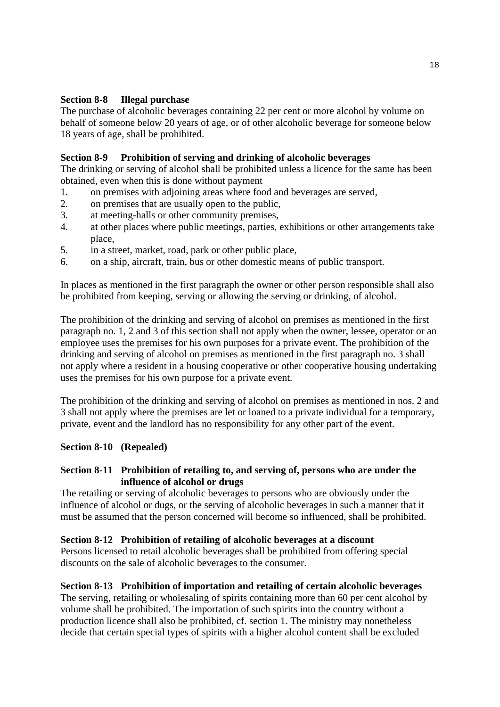## **Section 8-8 Illegal purchase**

The purchase of alcoholic beverages containing 22 per cent or more alcohol by volume on behalf of someone below 20 years of age, or of other alcoholic beverage for someone below 18 years of age, shall be prohibited.

# **Section 8-9 Prohibition of serving and drinking of alcoholic beverages**

The drinking or serving of alcohol shall be prohibited unless a licence for the same has been obtained, even when this is done without payment

- 1. on premises with adjoining areas where food and beverages are served,
- 2. on premises that are usually open to the public,
- 3. at meeting-halls or other community premises,
- 4. at other places where public meetings, parties, exhibitions or other arrangements take place,
- 5. in a street, market, road, park or other public place,
- 6. on a ship, aircraft, train, bus or other domestic means of public transport.

In places as mentioned in the first paragraph the owner or other person responsible shall also be prohibited from keeping, serving or allowing the serving or drinking, of alcohol.

The prohibition of the drinking and serving of alcohol on premises as mentioned in the first paragraph no. 1, 2 and 3 of this section shall not apply when the owner, lessee, operator or an employee uses the premises for his own purposes for a private event. The prohibition of the drinking and serving of alcohol on premises as mentioned in the first paragraph no. 3 shall not apply where a resident in a housing cooperative or other cooperative housing undertaking uses the premises for his own purpose for a private event.

The prohibition of the drinking and serving of alcohol on premises as mentioned in nos. 2 and 3 shall not apply where the premises are let or loaned to a private individual for a temporary, private, event and the landlord has no responsibility for any other part of the event.

## **Section 8-10 (Repealed)**

## **Section 8-11 Prohibition of retailing to, and serving of, persons who are under the influence of alcohol or drugs**

The retailing or serving of alcoholic beverages to persons who are obviously under the influence of alcohol or dugs, or the serving of alcoholic beverages in such a manner that it must be assumed that the person concerned will become so influenced, shall be prohibited.

## **Section 8-12 Prohibition of retailing of alcoholic beverages at a discount**

Persons licensed to retail alcoholic beverages shall be prohibited from offering special discounts on the sale of alcoholic beverages to the consumer.

## **Section 8-13 Prohibition of importation and retailing of certain alcoholic beverages**

The serving, retailing or wholesaling of spirits containing more than 60 per cent alcohol by volume shall be prohibited. The importation of such spirits into the country without a production licence shall also be prohibited, cf. section 1. The ministry may nonetheless decide that certain special types of spirits with a higher alcohol content shall be excluded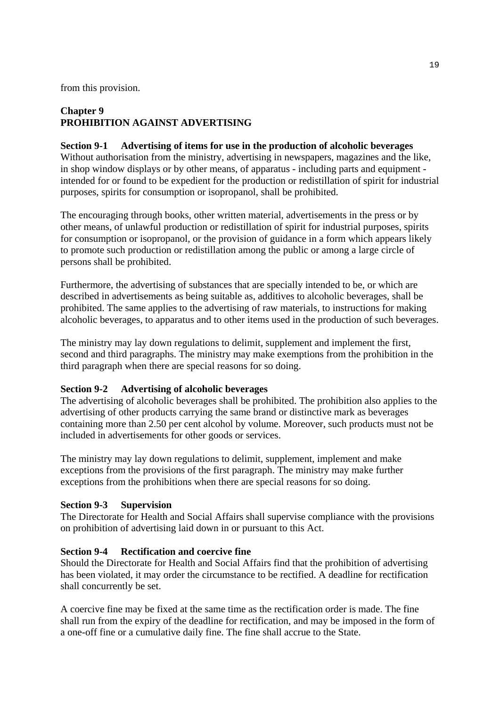from this provision.

# **Chapter 9 PROHIBITION AGAINST ADVERTISING**

**Section 9-1 Advertising of items for use in the production of alcoholic beverages** Without authorisation from the ministry, advertising in newspapers, magazines and the like, in shop window displays or by other means, of apparatus - including parts and equipment intended for or found to be expedient for the production or redistillation of spirit for industrial purposes, spirits for consumption or isopropanol, shall be prohibited.

The encouraging through books, other written material, advertisements in the press or by other means, of unlawful production or redistillation of spirit for industrial purposes, spirits for consumption or isopropanol, or the provision of guidance in a form which appears likely to promote such production or redistillation among the public or among a large circle of persons shall be prohibited.

Furthermore, the advertising of substances that are specially intended to be, or which are described in advertisements as being suitable as, additives to alcoholic beverages, shall be prohibited. The same applies to the advertising of raw materials, to instructions for making alcoholic beverages, to apparatus and to other items used in the production of such beverages.

The ministry may lay down regulations to delimit, supplement and implement the first, second and third paragraphs. The ministry may make exemptions from the prohibition in the third paragraph when there are special reasons for so doing.

## **Section 9-2 Advertising of alcoholic beverages**

The advertising of alcoholic beverages shall be prohibited. The prohibition also applies to the advertising of other products carrying the same brand or distinctive mark as beverages containing more than 2.50 per cent alcohol by volume. Moreover, such products must not be included in advertisements for other goods or services.

The ministry may lay down regulations to delimit, supplement, implement and make exceptions from the provisions of the first paragraph. The ministry may make further exceptions from the prohibitions when there are special reasons for so doing.

### **Section 9-3 Supervision**

The Directorate for Health and Social Affairs shall supervise compliance with the provisions on prohibition of advertising laid down in or pursuant to this Act.

### **Section 9-4 Rectification and coercive fine**

Should the Directorate for Health and Social Affairs find that the prohibition of advertising has been violated, it may order the circumstance to be rectified. A deadline for rectification shall concurrently be set.

A coercive fine may be fixed at the same time as the rectification order is made. The fine shall run from the expiry of the deadline for rectification, and may be imposed in the form of a one-off fine or a cumulative daily fine. The fine shall accrue to the State.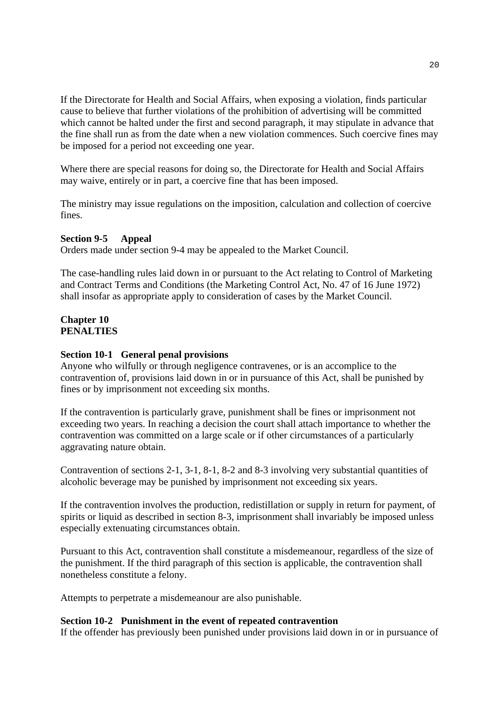If the Directorate for Health and Social Affairs, when exposing a violation, finds particular cause to believe that further violations of the prohibition of advertising will be committed which cannot be halted under the first and second paragraph, it may stipulate in advance that the fine shall run as from the date when a new violation commences. Such coercive fines may be imposed for a period not exceeding one year.

Where there are special reasons for doing so, the Directorate for Health and Social Affairs may waive, entirely or in part, a coercive fine that has been imposed.

The ministry may issue regulations on the imposition, calculation and collection of coercive fines.

#### **Section 9-5 Appeal**

Orders made under section 9-4 may be appealed to the Market Council.

The case-handling rules laid down in or pursuant to the Act relating to Control of Marketing and Contract Terms and Conditions (the Marketing Control Act, No. 47 of 16 June 1972) shall insofar as appropriate apply to consideration of cases by the Market Council.

### **Chapter 10 PENALTIES**

#### **Section 10-1 General penal provisions**

Anyone who wilfully or through negligence contravenes, or is an accomplice to the contravention of, provisions laid down in or in pursuance of this Act, shall be punished by fines or by imprisonment not exceeding six months.

If the contravention is particularly grave, punishment shall be fines or imprisonment not exceeding two years. In reaching a decision the court shall attach importance to whether the contravention was committed on a large scale or if other circumstances of a particularly aggravating nature obtain.

Contravention of sections 2-1, 3-1, 8-1, 8-2 and 8-3 involving very substantial quantities of alcoholic beverage may be punished by imprisonment not exceeding six years.

If the contravention involves the production, redistillation or supply in return for payment, of spirits or liquid as described in section 8-3, imprisonment shall invariably be imposed unless especially extenuating circumstances obtain.

Pursuant to this Act, contravention shall constitute a misdemeanour, regardless of the size of the punishment. If the third paragraph of this section is applicable, the contravention shall nonetheless constitute a felony.

Attempts to perpetrate a misdemeanour are also punishable.

#### **Section 10-2 Punishment in the event of repeated contravention**

If the offender has previously been punished under provisions laid down in or in pursuance of